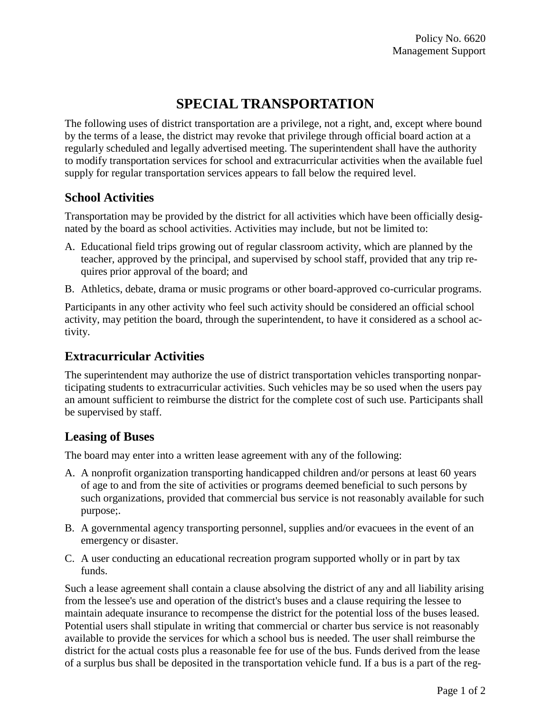# **SPECIAL TRANSPORTATION**

The following uses of district transportation are a privilege, not a right, and, except where bound by the terms of a lease, the district may revoke that privilege through official board action at a regularly scheduled and legally advertised meeting. The superintendent shall have the authority to modify transportation services for school and extracurricular activities when the available fuel supply for regular transportation services appears to fall below the required level.

### **School Activities**

Transportation may be provided by the district for all activities which have been officially designated by the board as school activities. Activities may include, but not be limited to:

- A. Educational field trips growing out of regular classroom activity, which are planned by the teacher, approved by the principal, and supervised by school staff, provided that any trip requires prior approval of the board; and
- B. Athletics, debate, drama or music programs or other board-approved co-curricular programs.

Participants in any other activity who feel such activity should be considered an official school activity, may petition the board, through the superintendent, to have it considered as a school activity.

#### **Extracurricular Activities**

The superintendent may authorize the use of district transportation vehicles transporting nonparticipating students to extracurricular activities. Such vehicles may be so used when the users pay an amount sufficient to reimburse the district for the complete cost of such use. Participants shall be supervised by staff.

## **Leasing of Buses**

The board may enter into a written lease agreement with any of the following:

- A. A nonprofit organization transporting handicapped children and/or persons at least 60 years of age to and from the site of activities or programs deemed beneficial to such persons by such organizations, provided that commercial bus service is not reasonably available for such purpose;.
- B. A governmental agency transporting personnel, supplies and/or evacuees in the event of an emergency or disaster.
- C. A user conducting an educational recreation program supported wholly or in part by tax funds.

Such a lease agreement shall contain a clause absolving the district of any and all liability arising from the lessee's use and operation of the district's buses and a clause requiring the lessee to maintain adequate insurance to recompense the district for the potential loss of the buses leased. Potential users shall stipulate in writing that commercial or charter bus service is not reasonably available to provide the services for which a school bus is needed. The user shall reimburse the district for the actual costs plus a reasonable fee for use of the bus. Funds derived from the lease of a surplus bus shall be deposited in the transportation vehicle fund. If a bus is a part of the reg